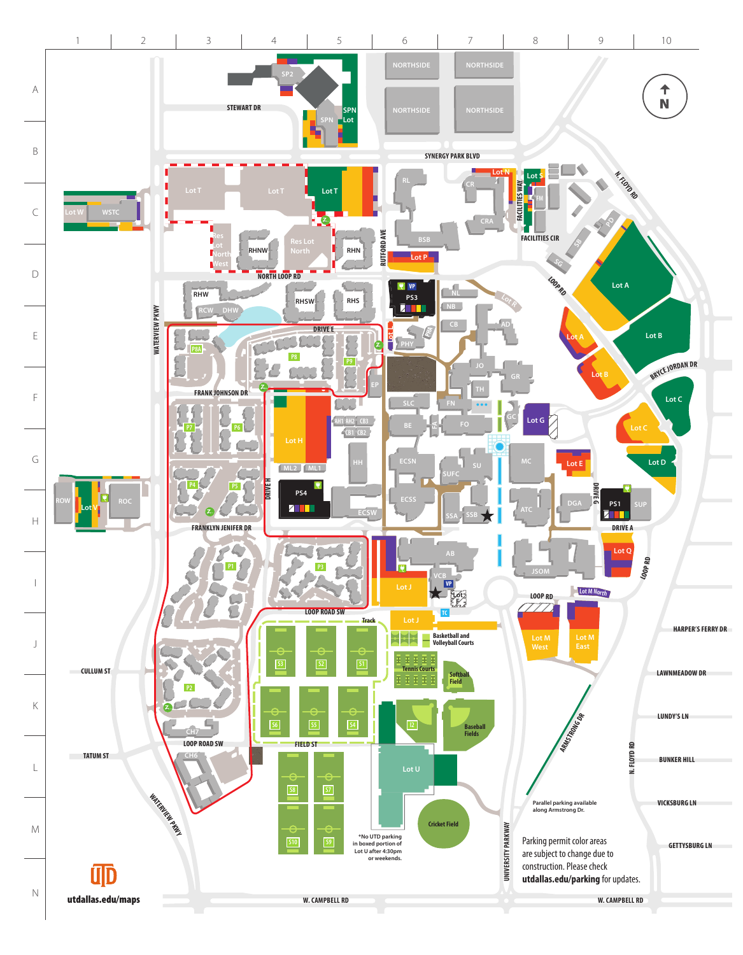